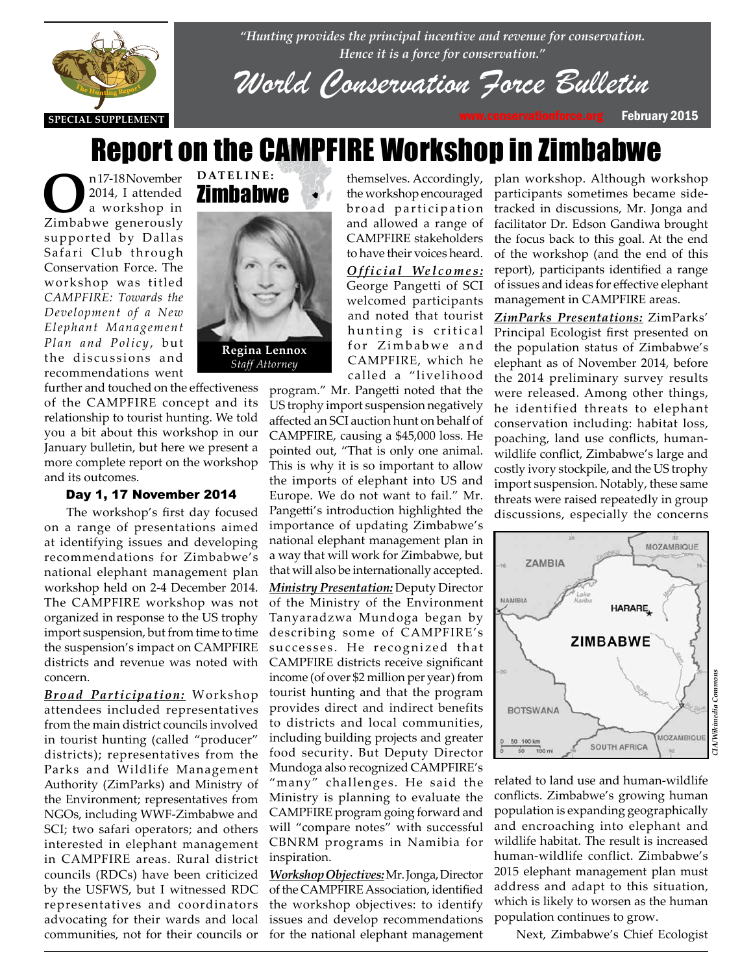

*"Hunting provides the principal incentive and revenue for conservation. Hence it is a force for conservation."*

*World Conservation Force Bulletin*

## Report on the CAMPFIRE Workshop in Zimbabwe

**O**n 17-18 November<br>
2014, I attended<br>
zimbabwe generously 2014, I attended a workshop in supported by Dallas Safari Club through Conservation Force. The workshop was titled *CAMPFIRE: Towards the Development of a New Elephant Management Plan and Policy*, but the discussions and recommendations went



#### Day 1, 17 November 2014

The workshop's first day focused on a range of presentations aimed at identifying issues and developing recommendations for Zimbabwe's national elephant management plan workshop held on 2-4 December 2014. The CAMPFIRE workshop was not organized in response to the US trophy import suspension, but from time to time the suspension's impact on CAMPFIRE districts and revenue was noted with concern.

*Broad Participation:* Workshop attendees included representatives from the main district councils involved in tourist hunting (called "producer" districts); representatives from the Parks and Wildlife Management Authority (ZimParks) and Ministry of the Environment; representatives from NGOs, including WWF-Zimbabwe and SCI; two safari operators; and others interested in elephant management in CAMPFIRE areas. Rural district councils (RDCs) have been criticized by the USFWS, but I witnessed RDC representatives and coordinators advocating for their wards and local communities, not for their councils or



**DATELINE:**

themselves. Accordingly, the workshop encouraged broad participation and allowed a range of CAMPFIRE stakeholders to have their voices heard.

*Official Welcomes:* George Pangetti of SCI welcomed participants and noted that tourist hunting is critical for Zimbabwe and CAMPFIRE, which he called a "livelihood

program." Mr. Pangetti noted that the US trophy import suspension negatively affected an SCI auction hunt on behalf of CAMPFIRE, causing a \$45,000 loss. He pointed out, "That is only one animal. This is why it is so important to allow the imports of elephant into US and Europe. We do not want to fail." Mr. Pangetti's introduction highlighted the importance of updating Zimbabwe's national elephant management plan in a way that will work for Zimbabwe, but that will also be internationally accepted. *Ministry Presentation:* Deputy Director of the Ministry of the Environment Tanyaradzwa Mundoga began by describing some of CAMPFIRE's successes. He recognized that CAMPFIRE districts receive significant income (of over \$2 million per year) from

tourist hunting and that the program provides direct and indirect benefits to districts and local communities, including building projects and greater food security. But Deputy Director Mundoga also recognized CAMPFIRE's "many" challenges. He said the Ministry is planning to evaluate the CAMPFIRE program going forward and will "compare notes" with successful CBNRM programs in Namibia for inspiration.

*Workshop Objectives:* Mr. Jonga, Director of the CAMPFIRE Association, identified the workshop objectives: to identify issues and develop recommendations for the national elephant management

plan workshop. Although workshop participants sometimes became sidetracked in discussions, Mr. Jonga and facilitator Dr. Edson Gandiwa brought the focus back to this goal. At the end of the workshop (and the end of this report), participants identified a range of issues and ideas for effective elephant management in CAMPFIRE areas.

*ZimParks Presentations:* ZimParks' Principal Ecologist first presented on the population status of Zimbabwe's elephant as of November 2014, before the 2014 preliminary survey results were released. Among other things, he identified threats to elephant conservation including: habitat loss, poaching, land use conflicts, humanwildlife conflict, Zimbabwe's large and costly ivory stockpile, and the US trophy import suspension. Notably, these same threats were raised repeatedly in group discussions, especially the concerns



related to land use and human-wildlife conflicts. Zimbabwe's growing human population is expanding geographically and encroaching into elephant and wildlife habitat. The result is increased human-wildlife conflict. Zimbabwe's 2015 elephant management plan must address and adapt to this situation, which is likely to worsen as the human population continues to grow.

Next, Zimbabwe's Chief Ecologist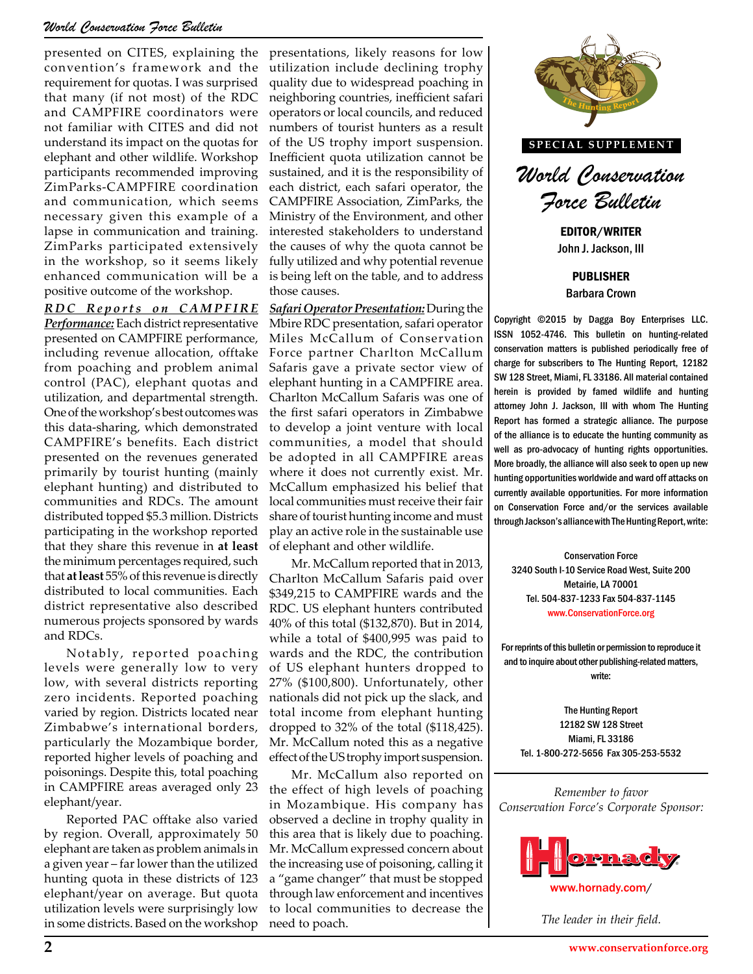#### *World Conservation Force Bulletin*

presented on CITES, explaining the convention's framework and the requirement for quotas. I was surprised that many (if not most) of the RDC and CAMPFIRE coordinators were not familiar with CITES and did not understand its impact on the quotas for elephant and other wildlife. Workshop participants recommended improving ZimParks-CAMPFIRE coordination and communication, which seems necessary given this example of a lapse in communication and training. ZimParks participated extensively in the workshop, so it seems likely enhanced communication will be a positive outcome of the workshop.

*R D C R e p o r t s o n C A M P F I R E Performance:* Each district representative presented on CAMPFIRE performance, including revenue allocation, offtake from poaching and problem animal control (PAC), elephant quotas and utilization, and departmental strength. One of the workshop's best outcomes was this data-sharing, which demonstrated CAMPFIRE's benefits. Each district presented on the revenues generated primarily by tourist hunting (mainly elephant hunting) and distributed to communities and RDCs. The amount distributed topped \$5.3 million. Districts participating in the workshop reported that they share this revenue in **at least** the minimum percentages required, such that **at least** 55% of this revenue is directly distributed to local communities. Each district representative also described numerous projects sponsored by wards and RDCs.

Notably, reported poaching levels were generally low to very low, with several districts reporting zero incidents. Reported poaching varied by region. Districts located near Zimbabwe's international borders, particularly the Mozambique border, reported higher levels of poaching and poisonings. Despite this, total poaching in CAMPFIRE areas averaged only 23 elephant/year.

Reported PAC offtake also varied by region. Overall, approximately 50 elephant are taken as problem animals in a given year – far lower than the utilized hunting quota in these districts of 123 elephant/year on average. But quota utilization levels were surprisingly low in some districts. Based on the workshop

presentations, likely reasons for low utilization include declining trophy quality due to widespread poaching in neighboring countries, inefficient safari operators or local councils, and reduced numbers of tourist hunters as a result of the US trophy import suspension. Inefficient quota utilization cannot be sustained, and it is the responsibility of each district, each safari operator, the CAMPFIRE Association, ZimParks, the Ministry of the Environment, and other interested stakeholders to understand the causes of why the quota cannot be fully utilized and why potential revenue is being left on the table, and to address those causes.

**The sustainable use**<br> **The Sustainable use**<br> **The Conservation Force** *Safari Operator Presentation:* During the Mbire RDC presentation, safari operator Miles McCallum of Conservation Force partner Charlton McCallum Safaris gave a private sector view of elephant hunting in a CAMPFIRE area. Charlton McCallum Safaris was one of the first safari operators in Zimbabwe to develop a joint venture with local communities, a model that should be adopted in all CAMPFIRE areas where it does not currently exist. Mr. McCallum emphasized his belief that local communities must receive their fair share of tourist hunting income and must play an active role in the sustainable use of elephant and other wildlife.

Mr. McCallum reported that in 2013, Charlton McCallum Safaris paid over \$349,215 to CAMPFIRE wards and the RDC. US elephant hunters contributed 40% of this total (\$132,870). But in 2014, while a total of \$400,995 was paid to wards and the RDC, the contribution of US elephant hunters dropped to 27% (\$100,800). Unfortunately, other nationals did not pick up the slack, and total income from elephant hunting dropped to 32% of the total (\$118,425). Mr. McCallum noted this as a negative effect of the US trophy import suspension.

Mr. McCallum also reported on the effect of high levels of poaching in Mozambique. His company has observed a decline in trophy quality in this area that is likely due to poaching. Mr. McCallum expressed concern about the increasing use of poisoning, calling it a "game changer" that must be stopped through law enforcement and incentives to local communities to decrease the need to poach.



**SPECIAL SUPPLEMENT**

*World Conservation Force Bulletin*

EDITOR/WRITER John J. Jackson, III

PUBLISHER Barbara Crown

Copyright ©2015 by Dagga Boy Enterprises LLC. ISSN 1052-4746. This bulletin on hunting-related conservation matters is published periodically free of charge for subscribers to The Hunting Report, 12182 SW 128 Street, Miami, FL 33186. All material contained herein is provided by famed wildlife and hunting attorney John J. Jackson, III with whom The Hunting Report has formed a strategic alliance. The purpose of the alliance is to educate the hunting community as well as pro-advocacy of hunting rights opportunities. More broadly, the alliance will also seek to open up new Function and the section of the section of the section of the currently exist. Mr.  $\begin{bmatrix} \text{More broadly, the alliance will also seek to open up new} \\ \text{hunting opportunities worldwide andward off attacks on} \\ \text{currently available opportunities. For more information} \end{bmatrix}$ currently available opportunities. For more information on Conservation Force and/or the services available through Jackson's alliance with The Hunting Report, write:

> Conservation Force 3240 South I-10 Service Road West, Suite 200 Metairie, LA 70001 Tel. 504-837-1233 Fax 504-837-1145 www.ConservationForce.org

For reprints of this bulletin or permission to reproduce it and to inquire about other publishing-related matters, write:

The Hunting Report 12182 SW 128 Street Miami, FL 33186 Tel. 1-800-272-5656 Fax 305-253-5532

*Remember to favor Conservation Force's Corporate Sponsor:*



*The leader in their field.*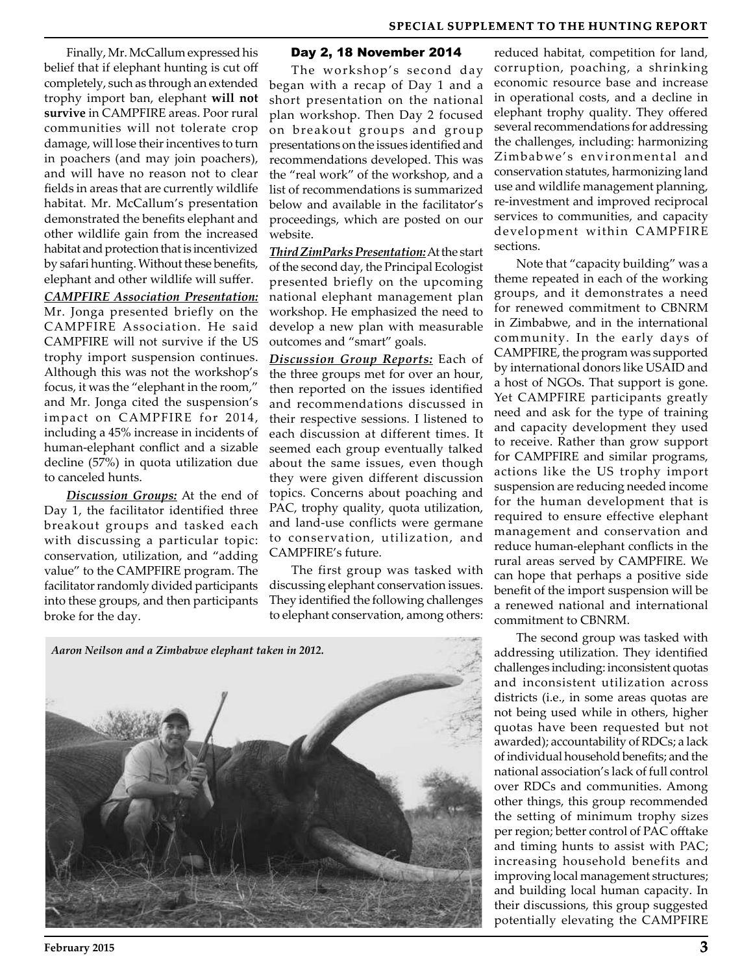Finally, Mr. McCallum expressed his belief that if elephant hunting is cut off completely, such as through an extended trophy import ban, elephant **will not survive** in CAMPFIRE areas. Poor rural communities will not tolerate crop damage, will lose their incentives to turn in poachers (and may join poachers), and will have no reason not to clear fields in areas that are currently wildlife habitat. Mr. McCallum's presentation demonstrated the benefits elephant and other wildlife gain from the increased habitat and protection that is incentivized by safari hunting. Without these benefits, elephant and other wildlife will suffer.

*CAMPFIRE Association Presentation:* Mr. Jonga presented briefly on the CAMPFIRE Association. He said CAMPFIRE will not survive if the US trophy import suspension continues. Although this was not the workshop's focus, it was the "elephant in the room," and Mr. Jonga cited the suspension's impact on CAMPFIRE for 2014, including a 45% increase in incidents of human-elephant conflict and a sizable decline (57%) in quota utilization due to canceled hunts.

*Discussion Groups:* At the end of Day 1, the facilitator identified three breakout groups and tasked each with discussing a particular topic: conservation, utilization, and "adding value" to the CAMPFIRE program. The facilitator randomly divided participants into these groups, and then participants broke for the day.

#### Day 2, 18 November 2014

The workshop's second day began with a recap of Day 1 and a short presentation on the national plan workshop. Then Day 2 focused on breakout groups and group presentations on the issues identified and recommendations developed. This was the "real work" of the workshop, and a list of recommendations is summarized below and available in the facilitator's proceedings, which are posted on our website.

*Third ZimParks Presentation:* At the start of the second day, the Principal Ecologist presented briefly on the upcoming national elephant management plan workshop. He emphasized the need to develop a new plan with measurable outcomes and "smart" goals.

*Discussion Group Reports:* Each of the three groups met for over an hour, then reported on the issues identified and recommendations discussed in their respective sessions. I listened to each discussion at different times. It seemed each group eventually talked about the same issues, even though they were given different discussion topics. Concerns about poaching and PAC, trophy quality, quota utilization, and land-use conflicts were germane to conservation, utilization, and CAMPFIRE's future.

The first group was tasked with discussing elephant conservation issues. They identified the following challenges to elephant conservation, among others:



reduced habitat, competition for land, corruption, poaching, a shrinking economic resource base and increase in operational costs, and a decline in elephant trophy quality. They offered several recommendations for addressing the challenges, including: harmonizing Zimbabwe's environmental and conservation statutes, harmonizing land use and wildlife management planning, re-investment and improved reciprocal services to communities, and capacity development within CAMPFIRE sections.

Note that "capacity building" was a theme repeated in each of the working groups, and it demonstrates a need for renewed commitment to CBNRM in Zimbabwe, and in the international community. In the early days of CAMPFIRE, the program was supported by international donors like USAID and a host of NGOs. That support is gone. Yet CAMPFIRE participants greatly need and ask for the type of training and capacity development they used to receive. Rather than grow support for CAMPFIRE and similar programs, actions like the US trophy import suspension are reducing needed income for the human development that is required to ensure effective elephant management and conservation and reduce human-elephant conflicts in the rural areas served by CAMPFIRE. We can hope that perhaps a positive side benefit of the import suspension will be a renewed national and international commitment to CBNRM.

The second group was tasked with addressing utilization. They identified challenges including: inconsistent quotas and inconsistent utilization across districts (i.e., in some areas quotas are not being used while in others, higher quotas have been requested but not awarded); accountability of RDCs; a lack of individual household benefits; and the national association's lack of full control over RDCs and communities. Among other things, this group recommended the setting of minimum trophy sizes per region; better control of PAC offtake and timing hunts to assist with PAC; increasing household benefits and improving local management structures; and building local human capacity. In their discussions, this group suggested potentially elevating the CAMPFIRE